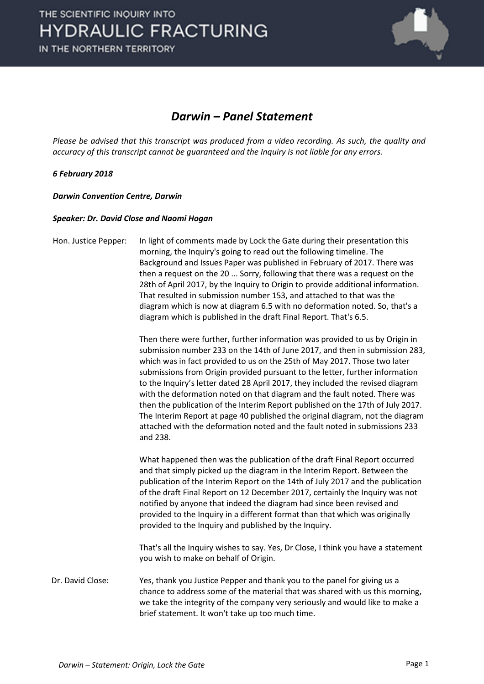

## *Darwin – Panel Statement*

*Please be advised that this transcript was produced from a video recording. As such, the quality and accuracy of this transcript cannot be guaranteed and the Inquiry is not liable for any errors.*

## *6 February 2018*

*Darwin Convention Centre, Darwin* 

## *Speaker: Dr. David Close and Naomi Hogan*

Hon. Justice Pepper: In light of comments made by Lock the Gate during their presentation this morning, the Inquiry's going to read out the following timeline. The Background and Issues Paper was published in February of 2017. There was then a request on the 20 ... Sorry, following that there was a request on the 28th of April 2017, by the Inquiry to Origin to provide additional information. That resulted in submission number 153, and attached to that was the diagram which is now at diagram 6.5 with no deformation noted. So, that's a diagram which is published in the draft Final Report. That's 6.5. Then there were further, further information was provided to us by Origin in submission number 233 on the 14th of June 2017, and then in submission 283, which was in fact provided to us on the 25th of May 2017. Those two later submissions from Origin provided pursuant to the letter, further information to the Inquiry's letter dated 28 April 2017, they included the revised diagram with the deformation noted on that diagram and the fault noted. There was then the publication of the Interim Report published on the 17th of July 2017. The Interim Report at page 40 published the original diagram, not the diagram attached with the deformation noted and the fault noted in submissions 233 and 238. What happened then was the publication of the draft Final Report occurred and that simply picked up the diagram in the Interim Report. Between the publication of the Interim Report on the 14th of July 2017 and the publication of the draft Final Report on 12 December 2017, certainly the Inquiry was not notified by anyone that indeed the diagram had since been revised and provided to the Inquiry in a different format than that which was originally provided to the Inquiry and published by the Inquiry. That's all the Inquiry wishes to say. Yes, Dr Close, I think you have a statement you wish to make on behalf of Origin.

Dr. David Close: Yes, thank you Justice Pepper and thank you to the panel for giving us a chance to address some of the material that was shared with us this morning, we take the integrity of the company very seriously and would like to make a brief statement. It won't take up too much time.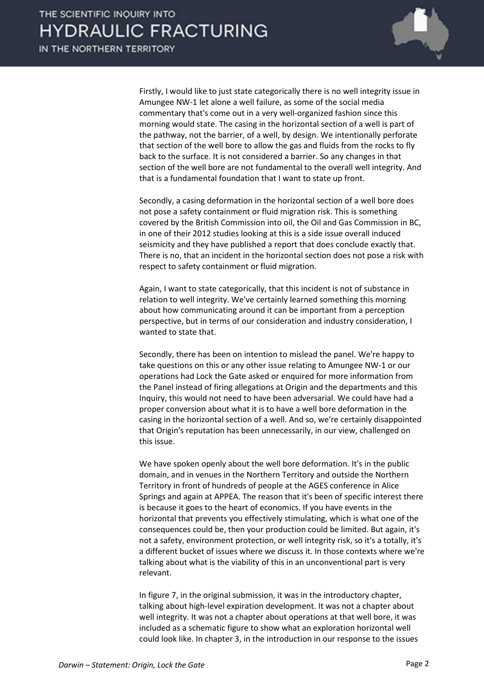

Firstly, I would like to just state categorically there is no well integrity issue in Amungee NW-1 let alone a well failure, as some of the social media commentary that's come out in a very well-organized fashion since this morning would state. The casing in the horizontal section of a well is part of the pathway, not the barrier, of a well, by design. We intentionally perforate that section of the well bore to allow the gas and fluids from the rocks to fly back to the surface. It is not considered a barrier. So any changes in that section of the well bore are not fundamental to the overall well integrity. And that is a fundamental foundation that I want to state up front.

Secondly, a casing deformation in the horizontal section of a well bore does not pose a safety containment or fluid migration risk. This is something covered by the British Commission into oil, the Oil and Gas Commission in BC, in one of their 2012 studies looking at this is a side issue overall induced seismicity and they have published a report that does conclude exactly that. There is no, that an incident in the horizontal section does not pose a risk with respect to safety containment or fluid migration.

Again, I want to state categorically, that this incident is not of substance in relation to well integrity. We've certainly learned something this morning about how communicating around it can be important from a perception perspective, but in terms of our consideration and industry consideration, I wanted to state that.

Secondly, there has been on intention to mislead the panel. We're happy to take questions on this or any other issue relating to Amungee NW-1 or our operations had Lock the Gate asked or enquired for more information from the Panel instead of firing allegations at Origin and the departments and this Inquiry, this would not need to have been adversarial. We could have had a proper conversion about what it is to have a well bore deformation in the casing in the horizontal section of a well. And so, we're certainly disappointed that Origin's reputation has been unnecessarily, in our view, challenged on this issue.

We have spoken openly about the well bore deformation. It's in the public domain, and in venues in the Northern Territory and outside the Northern Territory in front of hundreds of people at the AGES conference in Alice Springs and again at APPEA. The reason that it's been of specific interest there is because it goes to the heart of economics. If you have events in the horizontal that prevents you effectively stimulating, which is what one of the consequences could be, then your production could be limited. But again, it's not a safety, environment protection, or well integrity risk, so it's a totally, it's a different bucket of issues where we discuss it. In those contexts where we're talking about what is the viability of this in an unconventional part is very relevant.

In figure 7, in the original submission, it was in the introductory chapter, talking about high-level expiration development. It was not a chapter about well integrity. It was not a chapter about operations at that well bore, it was included as a schematic figure to show what an exploration horizontal well could look like. In chapter 3, in the introduction in our response to the issues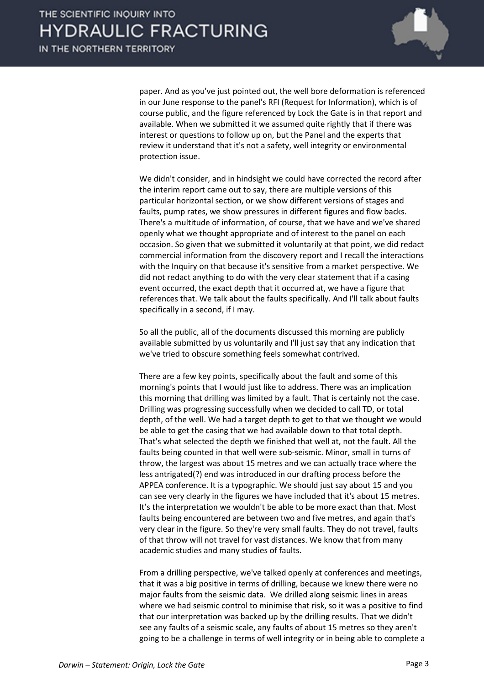

paper. And as you've just pointed out, the well bore deformation is referenced in our June response to the panel's RFI (Request for Information), which is of course public, and the figure referenced by Lock the Gate is in that report and available. When we submitted it we assumed quite rightly that if there was interest or questions to follow up on, but the Panel and the experts that review it understand that it's not a safety, well integrity or environmental protection issue.

We didn't consider, and in hindsight we could have corrected the record after the interim report came out to say, there are multiple versions of this particular horizontal section, or we show different versions of stages and faults, pump rates, we show pressures in different figures and flow backs. There's a multitude of information, of course, that we have and we've shared openly what we thought appropriate and of interest to the panel on each occasion. So given that we submitted it voluntarily at that point, we did redact commercial information from the discovery report and I recall the interactions with the Inquiry on that because it's sensitive from a market perspective. We did not redact anything to do with the very clear statement that if a casing event occurred, the exact depth that it occurred at, we have a figure that references that. We talk about the faults specifically. And I'll talk about faults specifically in a second, if I may.

So all the public, all of the documents discussed this morning are publicly available submitted by us voluntarily and I'll just say that any indication that we've tried to obscure something feels somewhat contrived.

There are a few key points, specifically about the fault and some of this morning's points that I would just like to address. There was an implication this morning that drilling was limited by a fault. That is certainly not the case. Drilling was progressing successfully when we decided to call TD, or total depth, of the well. We had a target depth to get to that we thought we would be able to get the casing that we had available down to that total depth. That's what selected the depth we finished that well at, not the fault. All the faults being counted in that well were sub-seismic. Minor, small in turns of throw, the largest was about 15 metres and we can actually trace where the less antrigated(?) end was introduced in our drafting process before the APPEA conference. It is a typographic. We should just say about 15 and you can see very clearly in the figures we have included that it's about 15 metres. It's the interpretation we wouldn't be able to be more exact than that. Most faults being encountered are between two and five metres, and again that's very clear in the figure. So they're very small faults. They do not travel, faults of that throw will not travel for vast distances. We know that from many academic studies and many studies of faults.

From a drilling perspective, we've talked openly at conferences and meetings, that it was a big positive in terms of drilling, because we knew there were no major faults from the seismic data. We drilled along seismic lines in areas where we had seismic control to minimise that risk, so it was a positive to find that our interpretation was backed up by the drilling results. That we didn't see any faults of a seismic scale, any faults of about 15 metres so they aren't going to be a challenge in terms of well integrity or in being able to complete a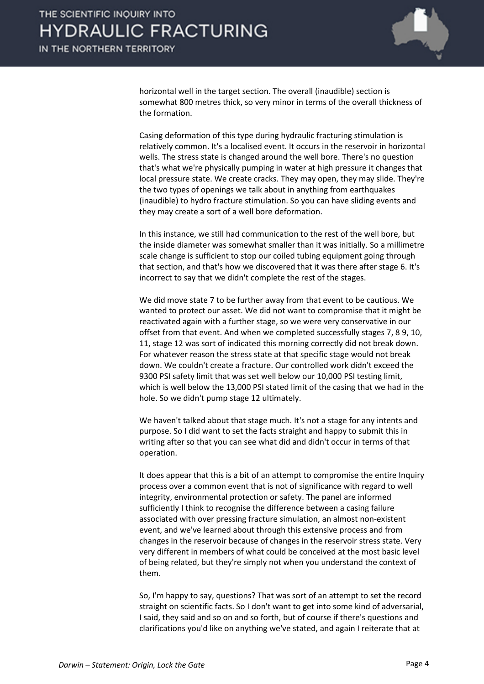

horizontal well in the target section. The overall (inaudible) section is somewhat 800 metres thick, so very minor in terms of the overall thickness of the formation.

Casing deformation of this type during hydraulic fracturing stimulation is relatively common. It's a localised event. It occurs in the reservoir in horizontal wells. The stress state is changed around the well bore. There's no question that's what we're physically pumping in water at high pressure it changes that local pressure state. We create cracks. They may open, they may slide. They're the two types of openings we talk about in anything from earthquakes (inaudible) to hydro fracture stimulation. So you can have sliding events and they may create a sort of a well bore deformation.

In this instance, we still had communication to the rest of the well bore, but the inside diameter was somewhat smaller than it was initially. So a millimetre scale change is sufficient to stop our coiled tubing equipment going through that section, and that's how we discovered that it was there after stage 6. It's incorrect to say that we didn't complete the rest of the stages.

We did move state 7 to be further away from that event to be cautious. We wanted to protect our asset. We did not want to compromise that it might be reactivated again with a further stage, so we were very conservative in our offset from that event. And when we completed successfully stages 7, 8 9, 10, 11, stage 12 was sort of indicated this morning correctly did not break down. For whatever reason the stress state at that specific stage would not break down. We couldn't create a fracture. Our controlled work didn't exceed the 9300 PSI safety limit that was set well below our 10,000 PSI testing limit, which is well below the 13,000 PSI stated limit of the casing that we had in the hole. So we didn't pump stage 12 ultimately.

We haven't talked about that stage much. It's not a stage for any intents and purpose. So I did want to set the facts straight and happy to submit this in writing after so that you can see what did and didn't occur in terms of that operation.

It does appear that this is a bit of an attempt to compromise the entire Inquiry process over a common event that is not of significance with regard to well integrity, environmental protection or safety. The panel are informed sufficiently I think to recognise the difference between a casing failure associated with over pressing fracture simulation, an almost non-existent event, and we've learned about through this extensive process and from changes in the reservoir because of changes in the reservoir stress state. Very very different in members of what could be conceived at the most basic level of being related, but they're simply not when you understand the context of them.

So, I'm happy to say, questions? That was sort of an attempt to set the record straight on scientific facts. So I don't want to get into some kind of adversarial, I said, they said and so on and so forth, but of course if there's questions and clarifications you'd like on anything we've stated, and again I reiterate that at